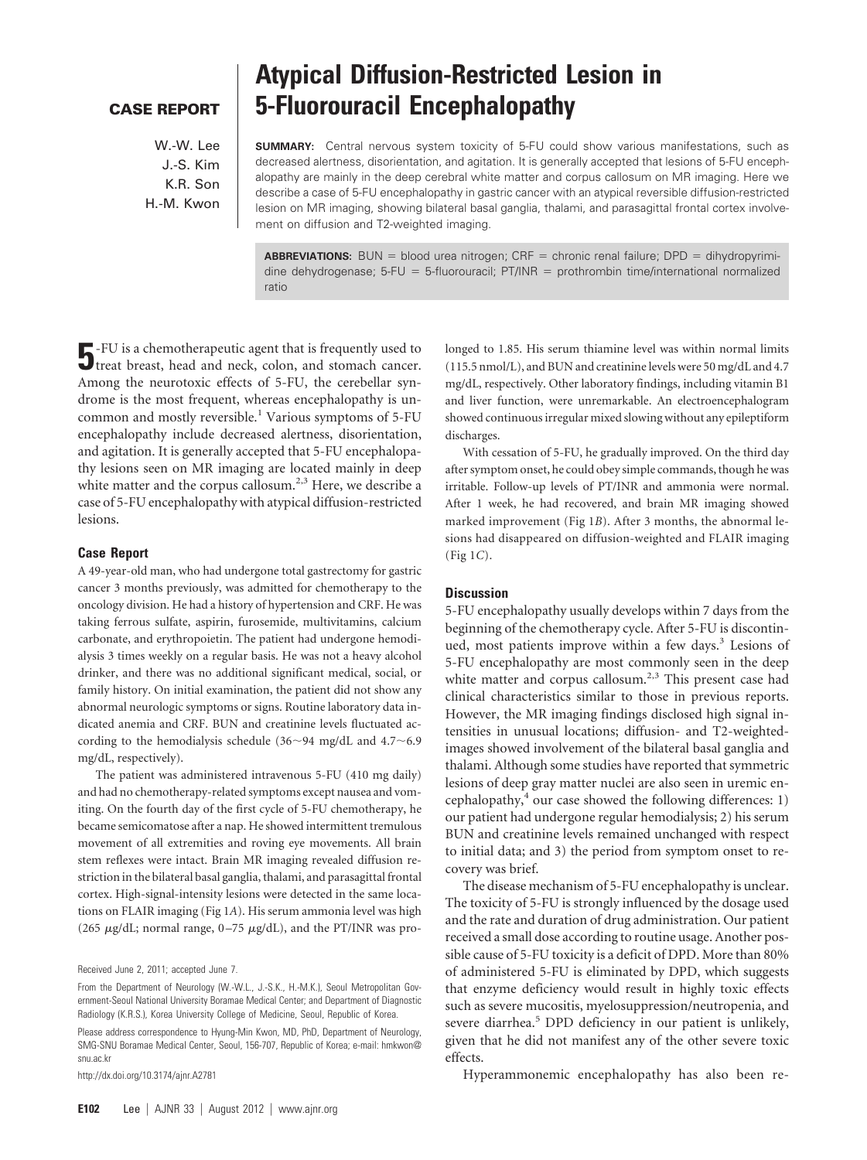# **CASE REPORT**

W.-W. Lee J.-S. Kim K.R. Son H.-M. Kwon

# **Atypical Diffusion-Restricted Lesion in 5-Fluorouracil Encephalopathy**

**SUMMARY:** Central nervous system toxicity of 5-FU could show various manifestations, such as decreased alertness, disorientation, and agitation. It is generally accepted that lesions of 5-FU encephalopathy are mainly in the deep cerebral white matter and corpus callosum on MR imaging. Here we describe a case of 5-FU encephalopathy in gastric cancer with an atypical reversible diffusion-restricted lesion on MR imaging, showing bilateral basal ganglia, thalami, and parasagittal frontal cortex involvement on diffusion and T2-weighted imaging.

**ABBREVIATIONS:** BUN = blood urea nitrogen;  $CRF =$  chronic renal failure;  $DPD =$  dihydropyrimidine dehydrogenase; 5-FU = 5-fluorouracil;  $PT/INR =$  prothrombin time/international normalized ratio

**5**-FU is a chemotherapeutic agent that is frequently used to treat breast, head and neck, colon, and stomach cancer. Among the neurotoxic effects of 5-FU, the cerebellar syndrome is the most frequent, whereas encephalopathy is uncommon and mostly reversible.<sup>1</sup> Various symptoms of 5-FU encephalopathy include decreased alertness, disorientation, and agitation. It is generally accepted that 5-FU encephalopathy lesions seen on MR imaging are located mainly in deep white matter and the corpus callosum.<sup>2,3</sup> Here, we describe a case of 5-FU encephalopathy with atypical diffusion-restricted lesions.

## **Case Report**

A 49-year-old man, who had undergone total gastrectomy for gastric cancer 3 months previously, was admitted for chemotherapy to the oncology division. He had a history of hypertension and CRF. He was taking ferrous sulfate, aspirin, furosemide, multivitamins, calcium carbonate, and erythropoietin. The patient had undergone hemodialysis 3 times weekly on a regular basis. He was not a heavy alcohol drinker, and there was no additional significant medical, social, or family history. On initial examination, the patient did not show any abnormal neurologic symptoms or signs. Routine laboratory data indicated anemia and CRF. BUN and creatinine levels fluctuated according to the hemodialysis schedule  $(36 \sim 94 \text{ mg/dL}$  and  $4.7 \sim 6.9$ mg/dL, respectively).

The patient was administered intravenous 5-FU (410 mg daily) and had no chemotherapy-related symptoms except nausea and vomiting. On the fourth day of the first cycle of 5-FU chemotherapy, he became semicomatose after a nap. He showed intermittent tremulous movement of all extremities and roving eye movements. All brain stem reflexes were intact. Brain MR imaging revealed diffusion restriction in the bilateral basal ganglia, thalami, and parasagittal frontal cortex. High-signal-intensity lesions were detected in the same locations on FLAIR imaging (Fig 1*A*). His serum ammonia level was high (265  $\mu$ g/dL; normal range, 0-75  $\mu$ g/dL), and the PT/INR was pro-

Please address correspondence to Hyung-Min Kwon, MD, PhD, Department of Neurology, SMG-SNU Boramae Medical Center, Seoul, 156-707, Republic of Korea; e-mail: hmkwon@ snu.ac.kr

http://dx.doi.org/10.3174/ajnr.A2781

longed to 1.85. His serum thiamine level was within normal limits (115.5 nmol/L), and BUN and creatinine levels were 50 mg/dL and 4.7 mg/dL, respectively. Other laboratory findings, including vitamin B1 and liver function, were unremarkable. An electroencephalogram showed continuous irregular mixed slowing without any epileptiform discharges.

With cessation of 5-FU, he gradually improved. On the third day after symptom onset, he could obey simple commands, though he was irritable. Follow-up levels of PT/INR and ammonia were normal. After 1 week, he had recovered, and brain MR imaging showed marked improvement (Fig 1*B*). After 3 months, the abnormal lesions had disappeared on diffusion-weighted and FLAIR imaging (Fig 1*C*).

### **Discussion**

5-FU encephalopathy usually develops within 7 days from the beginning of the chemotherapy cycle. After 5-FU is discontinued, most patients improve within a few days.<sup>3</sup> Lesions of 5-FU encephalopathy are most commonly seen in the deep white matter and corpus callosum.<sup>2,3</sup> This present case had clinical characteristics similar to those in previous reports. However, the MR imaging findings disclosed high signal intensities in unusual locations; diffusion- and T2-weightedimages showed involvement of the bilateral basal ganglia and thalami. Although some studies have reported that symmetric lesions of deep gray matter nuclei are also seen in uremic encephalopathy, $4$  our case showed the following differences: 1) our patient had undergone regular hemodialysis; 2) his serum BUN and creatinine levels remained unchanged with respect to initial data; and 3) the period from symptom onset to recovery was brief.

The disease mechanism of 5-FU encephalopathy is unclear. The toxicity of 5-FU is strongly influenced by the dosage used and the rate and duration of drug administration. Our patient received a small dose according to routine usage. Another possible cause of 5-FU toxicity is a deficit of DPD. More than 80% of administered 5-FU is eliminated by DPD, which suggests that enzyme deficiency would result in highly toxic effects such as severe mucositis, myelosuppression/neutropenia, and severe diarrhea.<sup>5</sup> DPD deficiency in our patient is unlikely, given that he did not manifest any of the other severe toxic effects.

Hyperammonemic encephalopathy has also been re-

Received June 2, 2011; accepted June 7.

From the Department of Neurology (W.-W.L., J.-S.K., H.-M.K.), Seoul Metropolitan Government-Seoul National University Boramae Medical Center; and Department of Diagnostic Radiology (K.R.S.), Korea University College of Medicine, Seoul, Republic of Korea.